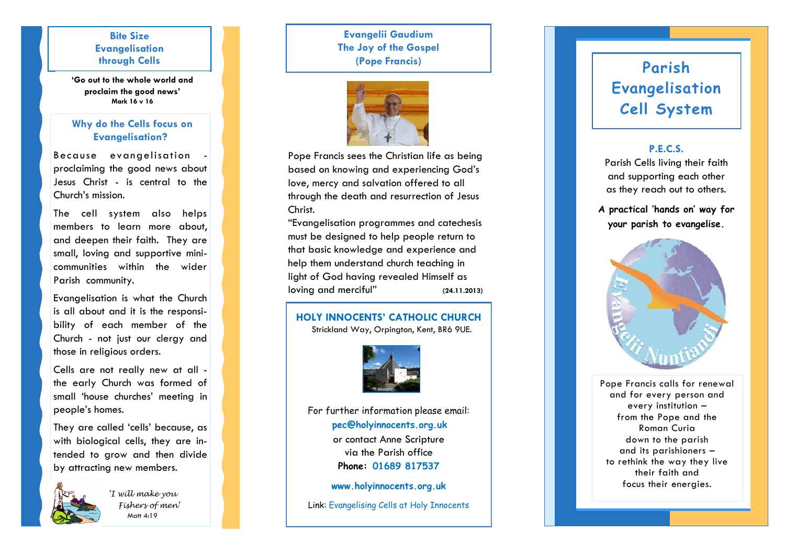## **Bite Size Evangelisation through Cells**

**'Go out to the whole world and proclaim the good news' Mark 16 v 16**

## **Why do the Cells focus on Evangelisation?**

Because evangelisation proclaiming the good news about Jesus Christ - is central to the Church's mission.

The cell system also helps members to learn more about, and deepen their faith. They are small, loving and supportive mini communities within the wider Parish community.

Evangelisation is what the Church is all about and it is the responsibility of each member of the Church - not just our clergy and those in religious orders.

Cells are not really new at all the early Church was formed of small 'house churches' meeting in people's homes.

They are called 'cells' because, as with biological cells, they are intended to grow and then divide by attracting new members.



*'I will make you Fishers of men'* Matt 4:19

# **Evangelii Gaudium The Joy of the Gospel (Pope Francis)**



Pope Francis sees the Christian life as being based on knowing and experiencing God's love, mercy and salvation offered to all through the death and resurrection of Jesus Christ.

"Evangelisation programmes and catechesis must be designed to help people return to that basic knowledge and experience and help them understand church teaching in light of God having revealed Himself as loving and merciful" **(24.11.2013)**

### **HOLY INNOCENTS' CATHOLIC CHURCH**

Strickland Way, Orpington, Kent, BR6 9UE.



For further information please email: **pec@holyinnocents.org.uk** or contact Anne Scripture via the Parish office **Phone: 01689 817537**

**www.holyinnocents.org.uk**

Link: Evangelising Cells at Holy Innocents

# **Parish Evangelisation Cell System**

## **P.E.C.S.**

Parish Cells living their faith and supporting each other as they reach out to others.

**A practical 'hands on' way for your parish to evangelise.**



Pope Francis calls for renewal and for every person and every institution – from the Pope and the Roman Curia down to the parish and its parishioners – to rethink the way they live their faith and focus their energies.